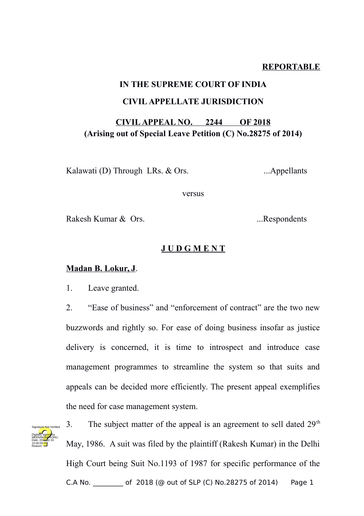#### **REPORTABLE**

## **IN THE SUPREME COURT OF INDIA CIVIL APPELLATE JURISDICTION**

### **CIVIL APPEAL NO. 2244 OF 2018 (Arising out of Special Leave Petition (C) No.28275 of 2014)**

Kalawati (D) Through LRs. & Ors. ...Appellants

versus

Rakesh Kumar & Ors. ...Respondents

#### **J U D G M E N T**

#### **Madan B. Lokur, J**.

1. Leave granted.

2. "Ease of business" and "enforcement of contract" are the two new buzzwords and rightly so. For ease of doing business insofar as justice delivery is concerned, it is time to introspect and introduce case management programmes to streamline the system so that suits and appeals can be decided more efficiently. The present appeal exemplifies the need for case management system.



3. The subject matter of the appeal is an agreement to sell dated  $29<sup>th</sup>$ May, 1986. A suit was filed by the plaintiff (Rakesh Kumar) in the Delhi High Court being Suit No.1193 of 1987 for specific performance of the C.A No. \_\_\_\_\_\_\_\_\_ of 2018 (@ out of SLP (C) No.28275 of 2014) Page 1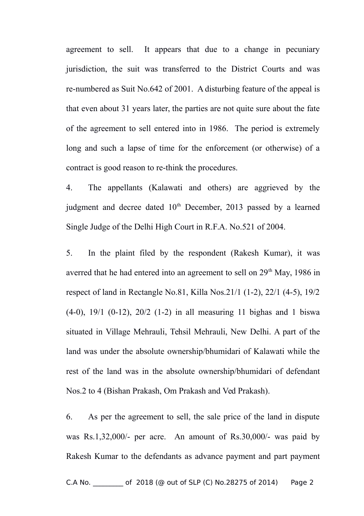agreement to sell. It appears that due to a change in pecuniary jurisdiction, the suit was transferred to the District Courts and was re-numbered as Suit No.642 of 2001. A disturbing feature of the appeal is that even about 31 years later, the parties are not quite sure about the fate of the agreement to sell entered into in 1986. The period is extremely long and such a lapse of time for the enforcement (or otherwise) of a contract is good reason to re-think the procedures.

4. The appellants (Kalawati and others) are aggrieved by the judgment and decree dated 10<sup>th</sup> December, 2013 passed by a learned Single Judge of the Delhi High Court in R.F.A. No.521 of 2004.

5. In the plaint filed by the respondent (Rakesh Kumar), it was averred that he had entered into an agreement to sell on  $29<sup>th</sup>$  May, 1986 in respect of land in Rectangle No.81, Killa Nos.21/1 (1-2), 22/1 (4-5), 19/2 (4-0), 19/1 (0-12), 20/2 (1-2) in all measuring 11 bighas and 1 biswa situated in Village Mehrauli, Tehsil Mehrauli, New Delhi. A part of the land was under the absolute ownership/bhumidari of Kalawati while the rest of the land was in the absolute ownership/bhumidari of defendant Nos.2 to 4 (Bishan Prakash, Om Prakash and Ved Prakash).

6. As per the agreement to sell, the sale price of the land in dispute was Rs.1,32,000/- per acre. An amount of Rs.30,000/- was paid by Rakesh Kumar to the defendants as advance payment and part payment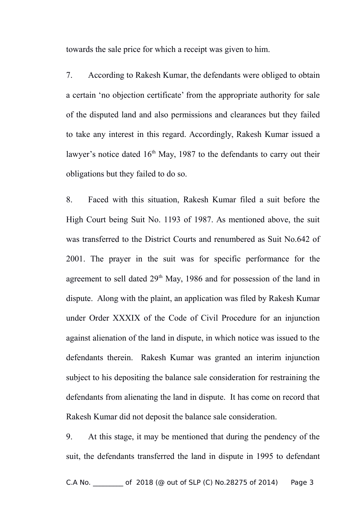towards the sale price for which a receipt was given to him.

7. According to Rakesh Kumar, the defendants were obliged to obtain a certain 'no objection certificate' from the appropriate authority for sale of the disputed land and also permissions and clearances but they failed to take any interest in this regard. Accordingly, Rakesh Kumar issued a lawyer's notice dated  $16<sup>th</sup>$  May, 1987 to the defendants to carry out their obligations but they failed to do so.

8. Faced with this situation, Rakesh Kumar filed a suit before the High Court being Suit No. 1193 of 1987. As mentioned above, the suit was transferred to the District Courts and renumbered as Suit No.642 of 2001. The prayer in the suit was for specific performance for the agreement to sell dated  $29<sup>th</sup>$  May, 1986 and for possession of the land in dispute. Along with the plaint, an application was filed by Rakesh Kumar under Order XXXIX of the Code of Civil Procedure for an injunction against alienation of the land in dispute, in which notice was issued to the defendants therein. Rakesh Kumar was granted an interim injunction subject to his depositing the balance sale consideration for restraining the defendants from alienating the land in dispute. It has come on record that Rakesh Kumar did not deposit the balance sale consideration.

9. At this stage, it may be mentioned that during the pendency of the suit, the defendants transferred the land in dispute in 1995 to defendant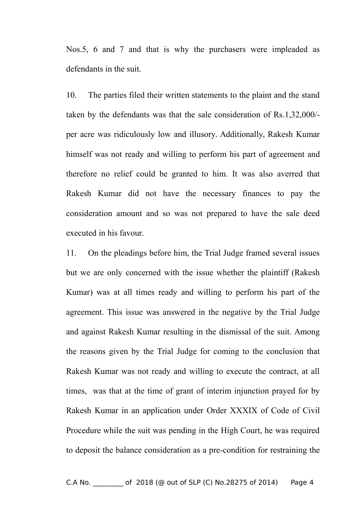Nos.5, 6 and 7 and that is why the purchasers were impleaded as defendants in the suit.

10. The parties filed their written statements to the plaint and the stand taken by the defendants was that the sale consideration of Rs.1,32,000/ per acre was ridiculously low and illusory. Additionally, Rakesh Kumar himself was not ready and willing to perform his part of agreement and therefore no relief could be granted to him. It was also averred that Rakesh Kumar did not have the necessary finances to pay the consideration amount and so was not prepared to have the sale deed executed in his favour.

11. On the pleadings before him, the Trial Judge framed several issues but we are only concerned with the issue whether the plaintiff (Rakesh Kumar) was at all times ready and willing to perform his part of the agreement. This issue was answered in the negative by the Trial Judge and against Rakesh Kumar resulting in the dismissal of the suit. Among the reasons given by the Trial Judge for coming to the conclusion that Rakesh Kumar was not ready and willing to execute the contract, at all times, was that at the time of grant of interim injunction prayed for by Rakesh Kumar in an application under Order XXXIX of Code of Civil Procedure while the suit was pending in the High Court, he was required to deposit the balance consideration as a pre-condition for restraining the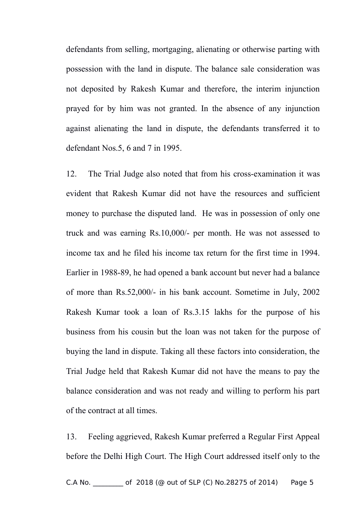defendants from selling, mortgaging, alienating or otherwise parting with possession with the land in dispute. The balance sale consideration was not deposited by Rakesh Kumar and therefore, the interim injunction prayed for by him was not granted. In the absence of any injunction against alienating the land in dispute, the defendants transferred it to defendant Nos.5, 6 and 7 in 1995.

12. The Trial Judge also noted that from his cross-examination it was evident that Rakesh Kumar did not have the resources and sufficient money to purchase the disputed land. He was in possession of only one truck and was earning Rs.10,000/- per month. He was not assessed to income tax and he filed his income tax return for the first time in 1994. Earlier in 1988-89, he had opened a bank account but never had a balance of more than Rs.52,000/- in his bank account. Sometime in July, 2002 Rakesh Kumar took a loan of Rs.3.15 lakhs for the purpose of his business from his cousin but the loan was not taken for the purpose of buying the land in dispute. Taking all these factors into consideration, the Trial Judge held that Rakesh Kumar did not have the means to pay the balance consideration and was not ready and willing to perform his part of the contract at all times.

13. Feeling aggrieved, Rakesh Kumar preferred a Regular First Appeal before the Delhi High Court. The High Court addressed itself only to the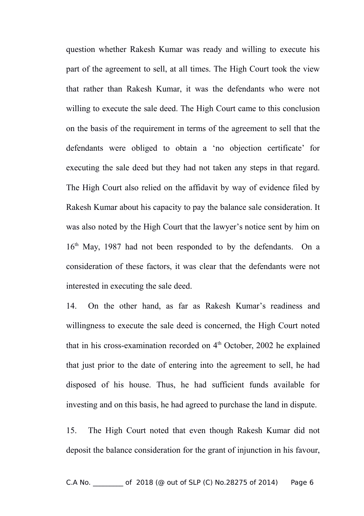question whether Rakesh Kumar was ready and willing to execute his part of the agreement to sell, at all times. The High Court took the view that rather than Rakesh Kumar, it was the defendants who were not willing to execute the sale deed. The High Court came to this conclusion on the basis of the requirement in terms of the agreement to sell that the defendants were obliged to obtain a 'no objection certificate' for executing the sale deed but they had not taken any steps in that regard. The High Court also relied on the affidavit by way of evidence filed by Rakesh Kumar about his capacity to pay the balance sale consideration. It was also noted by the High Court that the lawyer's notice sent by him on 16<sup>th</sup> May, 1987 had not been responded to by the defendants. On a consideration of these factors, it was clear that the defendants were not interested in executing the sale deed.

14. On the other hand, as far as Rakesh Kumar's readiness and willingness to execute the sale deed is concerned, the High Court noted that in his cross-examination recorded on  $4<sup>th</sup>$  October, 2002 he explained that just prior to the date of entering into the agreement to sell, he had disposed of his house. Thus, he had sufficient funds available for investing and on this basis, he had agreed to purchase the land in dispute.

15. The High Court noted that even though Rakesh Kumar did not deposit the balance consideration for the grant of injunction in his favour,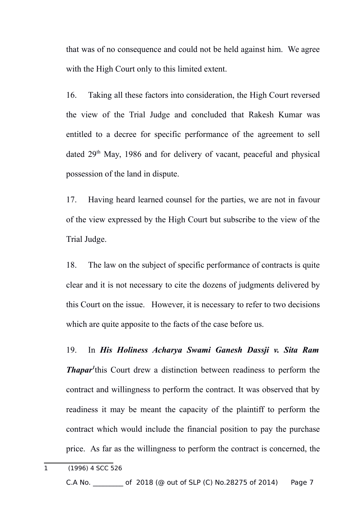that was of no consequence and could not be held against him. We agree with the High Court only to this limited extent.

16. Taking all these factors into consideration, the High Court reversed the view of the Trial Judge and concluded that Rakesh Kumar was entitled to a decree for specific performance of the agreement to sell dated 29th May, 1986 and for delivery of vacant, peaceful and physical possession of the land in dispute.

17. Having heard learned counsel for the parties, we are not in favour of the view expressed by the High Court but subscribe to the view of the Trial Judge.

18. The law on the subject of specific performance of contracts is quite clear and it is not necessary to cite the dozens of judgments delivered by this Court on the issue. However, it is necessary to refer to two decisions which are quite apposite to the facts of the case before us.

19. In *His Holiness Acharya Swami Ganesh Dassji v. Sita Ram Thapar<sup>[1](#page-6-0)</sup>*this Court drew a distinction between readiness to perform the contract and willingness to perform the contract. It was observed that by readiness it may be meant the capacity of the plaintiff to perform the contract which would include the financial position to pay the purchase price. As far as the willingness to perform the contract is concerned, the

<span id="page-6-0"></span>1 (1996) 4 SCC 526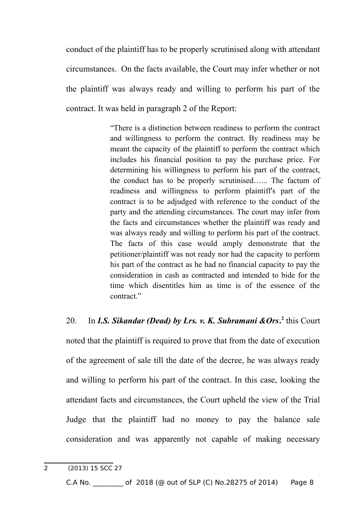conduct of the plaintiff has to be properly scrutinised along with attendant circumstances. On the facts available, the Court may infer whether or not the plaintiff was always ready and willing to perform his part of the contract. It was held in paragraph 2 of the Report:

> "There is a distinction between readiness to perform the contract and willingness to perform the contract. By readiness may be meant the capacity of the plaintiff to perform the contract which includes his financial position to pay the purchase price. For determining his willingness to perform his part of the contract, the conduct has to be properly scrutinised…... The factum of readiness and willingness to perform plaintiff's part of the contract is to be adjudged with reference to the conduct of the party and the attending circumstances. The court may infer from the facts and circumstances whether the plaintiff was ready and was always ready and willing to perform his part of the contract. The facts of this case would amply demonstrate that the petitioner/plaintiff was not ready nor had the capacity to perform his part of the contract as he had no financial capacity to pay the consideration in cash as contracted and intended to bide for the time which disentitles him as time is of the essence of the contract."

# [2](#page-7-0)0. In *I.S. Sikandar (Dead) by Lrs. v. K. Subramani & Ors*<sup>2</sup> this Court noted that the plaintiff is required to prove that from the date of execution of the agreement of sale till the date of the decree, he was always ready and willing to perform his part of the contract. In this case, looking the attendant facts and circumstances, the Court upheld the view of the Trial Judge that the plaintiff had no money to pay the balance sale consideration and was apparently not capable of making necessary

<span id="page-7-0"></span><sup>2 (2013) 15</sup> SCC 27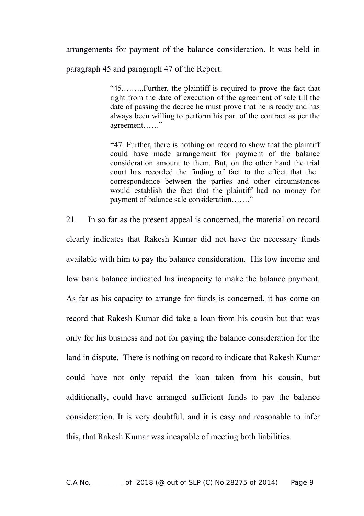arrangements for payment of the balance consideration. It was held in

paragraph 45 and paragraph 47 of the Report:

"45.……..Further, the plaintiff is required to prove the fact that right from the date of execution of the agreement of sale till the date of passing the decree he must prove that he is ready and has always been willing to perform his part of the contract as per the agreement……"

**"**47. Further, there is nothing on record to show that the plaintiff could have made arrangement for payment of the balance consideration amount to them. But, on the other hand the trial court has recorded the finding of fact to the effect that the correspondence between the parties and other circumstances would establish the fact that the plaintiff had no money for payment of balance sale consideration……."

21. In so far as the present appeal is concerned, the material on record clearly indicates that Rakesh Kumar did not have the necessary funds available with him to pay the balance consideration. His low income and low bank balance indicated his incapacity to make the balance payment. As far as his capacity to arrange for funds is concerned, it has come on record that Rakesh Kumar did take a loan from his cousin but that was only for his business and not for paying the balance consideration for the land in dispute. There is nothing on record to indicate that Rakesh Kumar could have not only repaid the loan taken from his cousin, but additionally, could have arranged sufficient funds to pay the balance consideration. It is very doubtful, and it is easy and reasonable to infer this, that Rakesh Kumar was incapable of meeting both liabilities.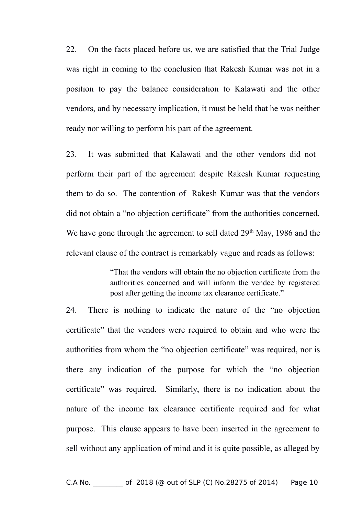22. On the facts placed before us, we are satisfied that the Trial Judge was right in coming to the conclusion that Rakesh Kumar was not in a position to pay the balance consideration to Kalawati and the other vendors, and by necessary implication, it must be held that he was neither ready nor willing to perform his part of the agreement.

23. It was submitted that Kalawati and the other vendors did not perform their part of the agreement despite Rakesh Kumar requesting them to do so. The contention of Rakesh Kumar was that the vendors did not obtain a "no objection certificate" from the authorities concerned. We have gone through the agreement to sell dated  $29<sup>th</sup>$  May, 1986 and the relevant clause of the contract is remarkably vague and reads as follows:

> "That the vendors will obtain the no objection certificate from the authorities concerned and will inform the vendee by registered post after getting the income tax clearance certificate."

24. There is nothing to indicate the nature of the "no objection certificate" that the vendors were required to obtain and who were the authorities from whom the "no objection certificate" was required, nor is there any indication of the purpose for which the "no objection certificate" was required. Similarly, there is no indication about the nature of the income tax clearance certificate required and for what purpose. This clause appears to have been inserted in the agreement to sell without any application of mind and it is quite possible, as alleged by